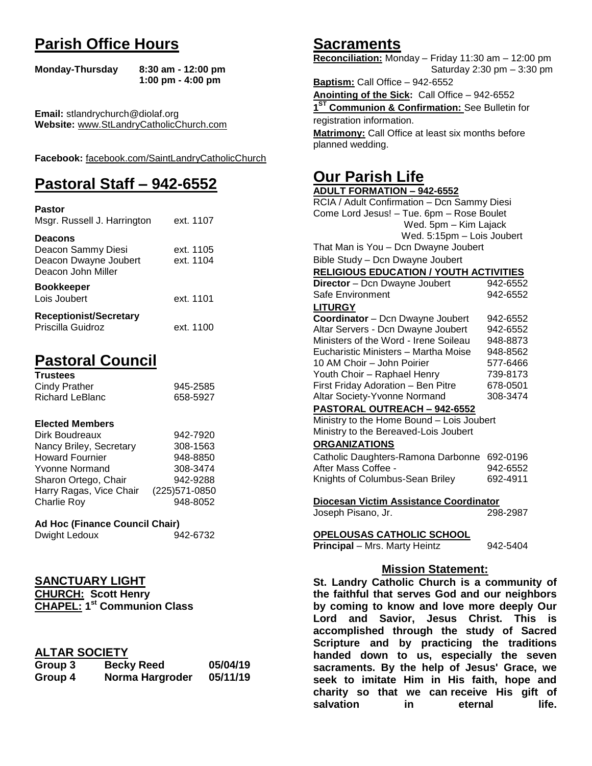# **Parish Office Hours**

```
Monday-Thursday 8:30 am - 12:00 pm
       1:00 pm - 4:00 pm
```
**Email:** stlandrychurch@diolaf.org **Website:** [www.StLandryCatholicChurch.com](http://www.stlandrycatholicchurch.com/)

**Facebook:** [facebook.com/SaintLandryCatholicChurch](http://facebook.com/SaintLandryCatholicChurch)

# **Pastoral Staff – 942-6552**

| <b>Pastor</b><br>Msgr. Russell J. Harrington                                        | ext. 1107              |
|-------------------------------------------------------------------------------------|------------------------|
| <b>Deacons</b><br>Deacon Sammy Diesi<br>Deacon Dwayne Joubert<br>Deacon John Miller | ext. 1105<br>ext. 1104 |
| <b>Bookkeeper</b><br>Lois Joubert                                                   | ext. 1101              |
| <b>Receptionist/Secretary</b><br>Priscilla Guidroz                                  | ext. 1100              |

# **Pastoral Council**

| <b>Trustees</b> |          |
|-----------------|----------|
| Cindy Prather   | 945-2585 |
| Richard LeBlanc | 658-5927 |

#### **Elected Members**

| Dirk Boudreaux          | 942-7920       |
|-------------------------|----------------|
| Nancy Briley, Secretary | 308-1563       |
| <b>Howard Fournier</b>  | 948-8850       |
| <b>Yvonne Normand</b>   | 308-3474       |
| Sharon Ortego, Chair    | 942-9288       |
| Harry Ragas, Vice Chair | (225) 571-0850 |
| Charlie Roy             | 948-8052       |

### **Ad Hoc (Finance Council Chair)**

| Dwight Ledoux | 942-6732 |
|---------------|----------|
|               |          |

# **SANCTUARY LIGHT CHURCH: Scott Henry**

| <b>CHAPEL: 1st Communion Class</b> |  |
|------------------------------------|--|

# **ALTAR SOCIETY**

| Group 3 | <b>Becky Reed</b> | 05/04/19 |
|---------|-------------------|----------|
| Group 4 | Norma Hargroder   | 05/11/19 |

# **Sacraments**

**Reconciliation:** Monday – Friday 11:30 am – 12:00 pm Saturday 2:30 pm – 3:30 pm

**Baptism:** Call Office – 942-6552 **Anointing of the Sick:** Call Office – 942-6552 **1 ST Communion & Confirmation:** See Bulletin for registration information. **Matrimony:** Call Office at least six months before planned wedding.

# **Our Parish Life**

| <b>ADULT FORMATION - 942-6552</b>              |          |  |
|------------------------------------------------|----------|--|
| RCIA / Adult Confirmation - Dcn Sammy Diesi    |          |  |
| Come Lord Jesus! - Tue. 6pm - Rose Boulet      |          |  |
| Wed. 5pm - Kim Lajack                          |          |  |
| Wed. 5:15pm - Lois Joubert                     |          |  |
| That Man is You - Dcn Dwayne Joubert           |          |  |
| Bible Study - Dcn Dwayne Joubert               |          |  |
| <b>RELIGIOUS EDUCATION / YOUTH ACTIVITIES</b>  |          |  |
| Director - Dcn Dwayne Joubert                  | 942-6552 |  |
| Safe Environment                               | 942-6552 |  |
| <b>LITURGY</b>                                 |          |  |
| Coordinator - Dcn Dwayne Joubert               | 942-6552 |  |
| Altar Servers - Dcn Dwayne Joubert             | 942-6552 |  |
| Ministers of the Word - Irene Soileau          | 948-8873 |  |
| Eucharistic Ministers - Martha Moise           | 948-8562 |  |
| 10 AM Choir - John Poirier                     | 577-6466 |  |
| Youth Choir - Raphael Henry                    | 739-8173 |  |
| First Friday Adoration - Ben Pitre             | 678-0501 |  |
| Altar Society-Yvonne Normand                   | 308-3474 |  |
| PASTORAL OUTREACH - 942-6552                   |          |  |
| Ministry to the Home Bound - Lois Joubert      |          |  |
| Ministry to the Bereaved-Lois Joubert          |          |  |
| <b>ORGANIZATIONS</b>                           |          |  |
| Catholic Daughters-Ramona Darbonne             | 692-0196 |  |
| After Mass Coffee -                            | 942-6552 |  |
| Knights of Columbus-Sean Briley                | 692-4911 |  |
|                                                |          |  |
| Diocesan Victim Assistance Coordinator         |          |  |
| Joseph Pisano, Jr.                             | 298-2987 |  |
| OPELOUSAS CATHOLIC SCHOOL                      |          |  |
| Principal - Mrs. Marty Heintz                  | 942-5404 |  |
|                                                |          |  |
| <b>Mission Statement:</b>                      |          |  |
| St. Landry Catholic Church is a community of   |          |  |
| the faithful that serves God and our neighbors |          |  |
| by coming to know and love more deeply Our     |          |  |
| rad and Contain Japite Chatat This is          |          |  |

**by coming to know and love more deeply Our Lord and Savior, Jesus Christ. This is accomplished through the study of Sacred Scripture and by practicing the traditions handed down to us, especially the seven sacraments. By the help of Jesus' Grace, we seek to imitate Him in His faith, hope and charity so that we can receive His gift of salvation in** eternal life.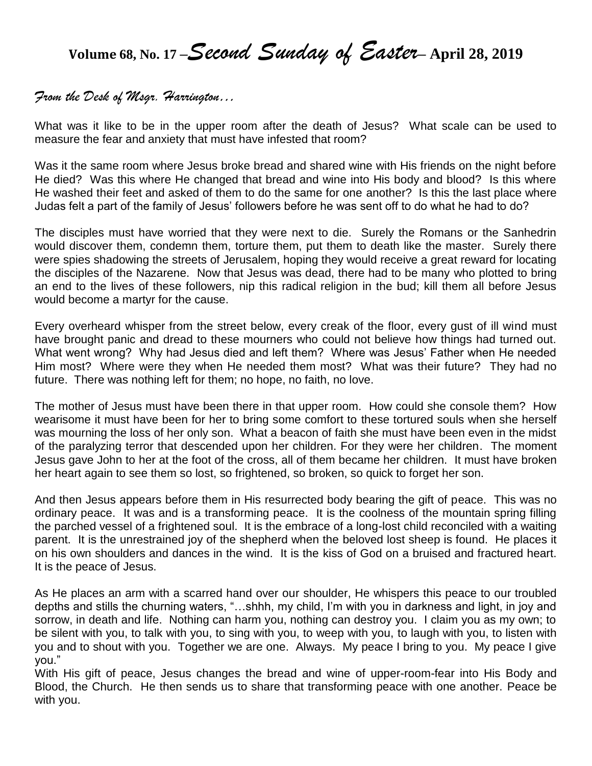**Volume 68, No. 17 –***Second Sunday of Easter***– April 28, <sup>2019</sup>**

# *From the Desk of Msgr. Harrington…*

What was it like to be in the upper room after the death of Jesus? What scale can be used to measure the fear and anxiety that must have infested that room?

Was it the same room where Jesus broke bread and shared wine with His friends on the night before He died? Was this where He changed that bread and wine into His body and blood? Is this where He washed their feet and asked of them to do the same for one another? Is this the last place where Judas felt a part of the family of Jesus' followers before he was sent off to do what he had to do?

The disciples must have worried that they were next to die. Surely the Romans or the Sanhedrin would discover them, condemn them, torture them, put them to death like the master. Surely there were spies shadowing the streets of Jerusalem, hoping they would receive a great reward for locating the disciples of the Nazarene. Now that Jesus was dead, there had to be many who plotted to bring an end to the lives of these followers, nip this radical religion in the bud; kill them all before Jesus would become a martyr for the cause.

Every overheard whisper from the street below, every creak of the floor, every gust of ill wind must have brought panic and dread to these mourners who could not believe how things had turned out. What went wrong? Why had Jesus died and left them? Where was Jesus' Father when He needed Him most? Where were they when He needed them most? What was their future? They had no future. There was nothing left for them; no hope, no faith, no love.

The mother of Jesus must have been there in that upper room. How could she console them? How wearisome it must have been for her to bring some comfort to these tortured souls when she herself was mourning the loss of her only son. What a beacon of faith she must have been even in the midst of the paralyzing terror that descended upon her children. For they were her children. The moment Jesus gave John to her at the foot of the cross, all of them became her children. It must have broken her heart again to see them so lost, so frightened, so broken, so quick to forget her son.

And then Jesus appears before them in His resurrected body bearing the gift of peace. This was no ordinary peace. It was and is a transforming peace. It is the coolness of the mountain spring filling the parched vessel of a frightened soul. It is the embrace of a long-lost child reconciled with a waiting parent. It is the unrestrained joy of the shepherd when the beloved lost sheep is found. He places it on his own shoulders and dances in the wind. It is the kiss of God on a bruised and fractured heart. It is the peace of Jesus.

As He places an arm with a scarred hand over our shoulder, He whispers this peace to our troubled depths and stills the churning waters, "…shhh, my child, I'm with you in darkness and light, in joy and sorrow, in death and life. Nothing can harm you, nothing can destroy you. I claim you as my own; to be silent with you, to talk with you, to sing with you, to weep with you, to laugh with you, to listen with you and to shout with you. Together we are one. Always. My peace I bring to you. My peace I give you."

With His gift of peace, Jesus changes the bread and wine of upper-room-fear into His Body and Blood, the Church. He then sends us to share that transforming peace with one another. Peace be with you.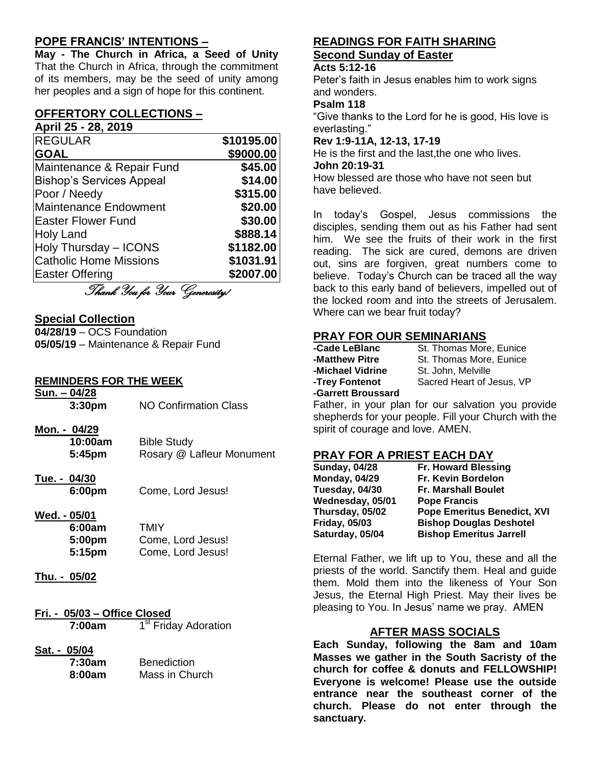## **POPE FRANCIS' INTENTIONS –**

**May - The Church in Africa, a Seed of Unity** That the Church in Africa, through the commitment of its members, may be the seed of unity among her peoples and a sign of hope for this continent.

#### **OFFERTORY COLLECTIONS – April 25 - 28, 2019**

| <b>REGULAR</b>                  | \$10195.00 |
|---------------------------------|------------|
| <b>GOAL</b>                     | \$9000.00  |
| Maintenance & Repair Fund       | \$45.00    |
| <b>Bishop's Services Appeal</b> | \$14.00    |
| Poor / Needy                    | \$315.00   |
| <b>Maintenance Endowment</b>    | \$20.00    |
| <b>Easter Flower Fund</b>       | \$30.00    |
| <b>Holy Land</b>                | \$888.14   |
| Holy Thursday - ICONS           | \$1182.00  |
| <b>Catholic Home Missions</b>   | \$1031.91  |
| Easter Offering                 | \$2007.00  |
| $\mathcal{Q}_{I}$               |            |

Thank You for Your Generosity!

#### **Special Collection**

**04/28/19** – OCS Foundation **05/05/19** – Maintenance & Repair Fund

#### **REMINDERS FOR THE WEEK**

| Sun. - 04/28 | 3:30 <sub>pm</sub>                | NO Confirmation Class                                 |
|--------------|-----------------------------------|-------------------------------------------------------|
|              | Mon. - 04/29<br>10:00am<br>5:45pm | <b>Bible Study</b><br>Rosary @ Lafleur Monument       |
| Tue. - 04/30 | 6:00pm                            | Come, Lord Jesus!                                     |
| Wed. - 05/01 | 6:00am<br>5:00pm<br>5:15pm        | <b>TMIY</b><br>Come, Lord Jesus!<br>Come, Lord Jesus! |
|              | hu. - 05/02                       |                                                       |

- **Fri. - 05/03 – Office Closed 7:00am** 1 1<sup>st</sup> Friday Adoration
- **Sat. - 05/04**

| 7:30am | <b>Benediction</b> |
|--------|--------------------|
| 8:00am | Mass in Church     |

## **READINGS FOR FAITH SHARING Second Sunday of Easter**

#### **Acts 5:12-16**

Peter's faith in Jesus enables him to work signs and wonders.

#### **Psalm 118**

"Give thanks to the Lord for he is good, His love is everlasting."

#### **Rev 1:9-11A, 12-13, 17-19**

He is the first and the last,the one who lives. **John 20:19-31** How blessed are those who have not seen but

have believed.

In today's Gospel, Jesus commissions the disciples, sending them out as his Father had sent him. We see the fruits of their work in the first reading. The sick are cured, demons are driven out, sins are forgiven, great numbers come to believe. Today's Church can be traced all the way back to this early band of believers, impelled out of the locked room and into the streets of Jerusalem. Where can we bear fruit today?

#### **PRAY FOR OUR SEMINARIANS**

| -Cade LeBlanc      | St. Thomas More, Eunice   |
|--------------------|---------------------------|
| -Matthew Pitre     | St. Thomas More, Eunice   |
| -Michael Vidrine   | St. John, Melville        |
| -Trey Fontenot     | Sacred Heart of Jesus, VP |
| -Garrett Broussard |                           |
|                    |                           |

Father, in your plan for our salvation you provide shepherds for your people. Fill your Church with the spirit of courage and love. AMEN.

### **PRAY FOR A PRIEST EACH DAY**

| <b>Sunday, 04/28</b> | <b>Fr. Howard Blessing</b>         |
|----------------------|------------------------------------|
| <b>Monday, 04/29</b> | Fr. Kevin Bordelon                 |
| Tuesday, 04/30       | <b>Fr. Marshall Boulet</b>         |
| Wednesday, 05/01     | <b>Pope Francis</b>                |
| Thursday, 05/02      | <b>Pope Emeritus Benedict, XVI</b> |
| <b>Friday, 05/03</b> | <b>Bishop Douglas Deshotel</b>     |
| Saturday, 05/04      | <b>Bishop Emeritus Jarrell</b>     |

Eternal Father, we lift up to You, these and all the priests of the world. Sanctify them. Heal and guide them. Mold them into the likeness of Your Son Jesus, the Eternal High Priest. May their lives be pleasing to You. In Jesus' name we pray. AMEN

### **AFTER MASS SOCIALS**

**Each Sunday, following the 8am and 10am Masses we gather in the South Sacristy of the church for coffee & donuts and FELLOWSHIP! Everyone is welcome! Please use the outside entrance near the southeast corner of the church. Please do not enter through the sanctuary.**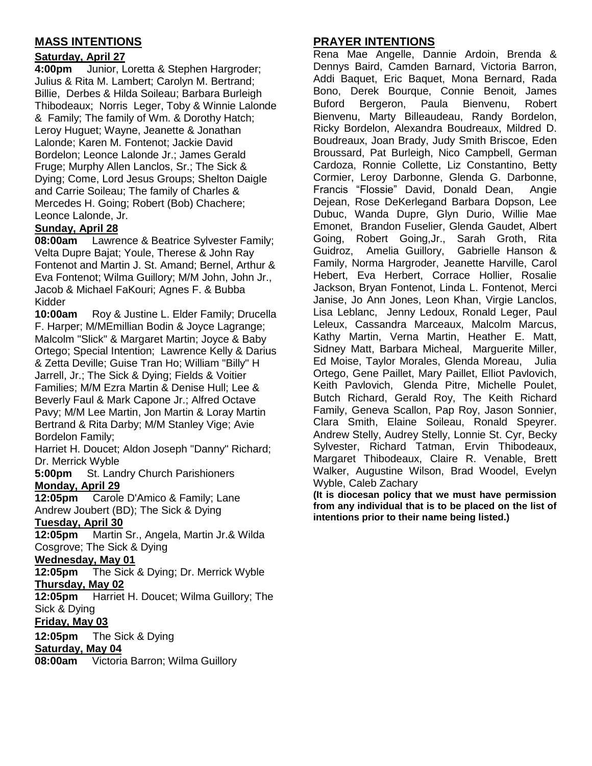## **MASS INTENTIONS**

## **Saturday, April 27**

**4:00pm** Junior, Loretta & Stephen Hargroder; Julius & Rita M. Lambert; Carolyn M. Bertrand; Billie, Derbes & Hilda Soileau; Barbara Burleigh Thibodeaux; Norris Leger, Toby & Winnie Lalonde & Family; The family of Wm. & Dorothy Hatch; Leroy Huguet; Wayne, Jeanette & Jonathan Lalonde; Karen M. Fontenot; Jackie David Bordelon; Leonce Lalonde Jr.; James Gerald Fruge; Murphy Allen Lanclos, Sr.; The Sick & Dying; Come, Lord Jesus Groups; Shelton Daigle and Carrie Soileau; The family of Charles & Mercedes H. Going; Robert (Bob) Chachere; Leonce Lalonde, Jr.

## **Sunday, April 28**

**08:00am** Lawrence & Beatrice Sylvester Family; Velta Dupre Bajat; Youle, Therese & John Ray Fontenot and Martin J. St. Amand; Bernel, Arthur & Eva Fontenot; Wilma Guillory; M/M John, John Jr., Jacob & Michael FaKouri; Agnes F. & Bubba Kidder

**10:00am** Roy & Justine L. Elder Family; Drucella F. Harper; M/MEmillian Bodin & Joyce Lagrange; Malcolm "Slick" & Margaret Martin; Joyce & Baby Ortego; Special Intention; Lawrence Kelly & Darius & Zetta Deville; Guise Tran Ho; William "Billy" H Jarrell, Jr.; The Sick & Dying; Fields & Voitier Families; M/M Ezra Martin & Denise Hull; Lee & Beverly Faul & Mark Capone Jr.; Alfred Octave Pavy; M/M Lee Martin, Jon Martin & Loray Martin Bertrand & Rita Darby; M/M Stanley Vige; Avie Bordelon Family;

Harriet H. Doucet; Aldon Joseph "Danny" Richard; Dr. Merrick Wyble

**5:00pm** St. Landry Church Parishioners **Monday, April 29**

**12:05pm** Carole D'Amico & Family; Lane Andrew Joubert (BD); The Sick & Dying

## **Tuesday, April 30**

**12:05pm** Martin Sr., Angela, Martin Jr.& Wilda Cosgrove; The Sick & Dying

#### **Wednesday, May 01**

**12:05pm** The Sick & Dying; Dr. Merrick Wyble **Thursday, May 02**

**12:05pm** Harriet H. Doucet; Wilma Guillory; The Sick & Dying

## **Friday, May 03**

**12:05pm** The Sick & Dying **Saturday, May 04**

**08:00am** Victoria Barron; Wilma Guillory

## **PRAYER INTENTIONS**

Rena Mae Angelle, Dannie Ardoin, Brenda & Dennys Baird, Camden Barnard, Victoria Barron, Addi Baquet, Eric Baquet, Mona Bernard, Rada Bono, Derek Bourque, Connie Benoit, James Buford Bergeron, Paula Bienvenu, Robert Bienvenu, Marty Billeaudeau, Randy Bordelon, Ricky Bordelon, Alexandra Boudreaux, Mildred D. Boudreaux, Joan Brady, Judy Smith Briscoe, Eden Broussard, Pat Burleigh, Nico Campbell, German Cardoza, Ronnie Collette, Liz Constantino, Betty Cormier, Leroy Darbonne, Glenda G. Darbonne, Francis "Flossie" David, Donald Dean, Angie Dejean, Rose DeKerlegand Barbara Dopson, Lee Dubuc, Wanda Dupre, Glyn Durio, Willie Mae Emonet, Brandon Fuselier, Glenda Gaudet, Albert Going, Robert Going,Jr., Sarah Groth, Rita Guidroz, Amelia Guillory, Gabrielle Hanson & Family, Norma Hargroder, Jeanette Harville, Carol Hebert, Eva Herbert, Corrace Hollier, Rosalie Jackson, Bryan Fontenot, Linda L. Fontenot, Merci Janise, Jo Ann Jones, Leon Khan, Virgie Lanclos, Lisa Leblanc, Jenny Ledoux, Ronald Leger, Paul Leleux, Cassandra Marceaux, Malcolm Marcus, Kathy Martin, Verna Martin, Heather E. Matt, Sidney Matt, Barbara Micheal, Marguerite Miller, Ed Moise, Taylor Morales, Glenda Moreau, Julia Ortego, Gene Paillet, Mary Paillet, Elliot Pavlovich, Keith Pavlovich, Glenda Pitre, Michelle Poulet, Butch Richard, Gerald Roy, The Keith Richard Family, Geneva Scallon, Pap Roy, Jason Sonnier, Clara Smith, Elaine Soileau, Ronald Speyrer. Andrew Stelly, Audrey Stelly, Lonnie St. Cyr, Becky Sylvester, Richard Tatman, Ervin Thibodeaux, Margaret Thibodeaux, Claire R. Venable, Brett Walker, Augustine Wilson, Brad Woodel, Evelyn Wyble, Caleb Zachary

**(It is diocesan policy that we must have permission from any individual that is to be placed on the list of intentions prior to their name being listed.)**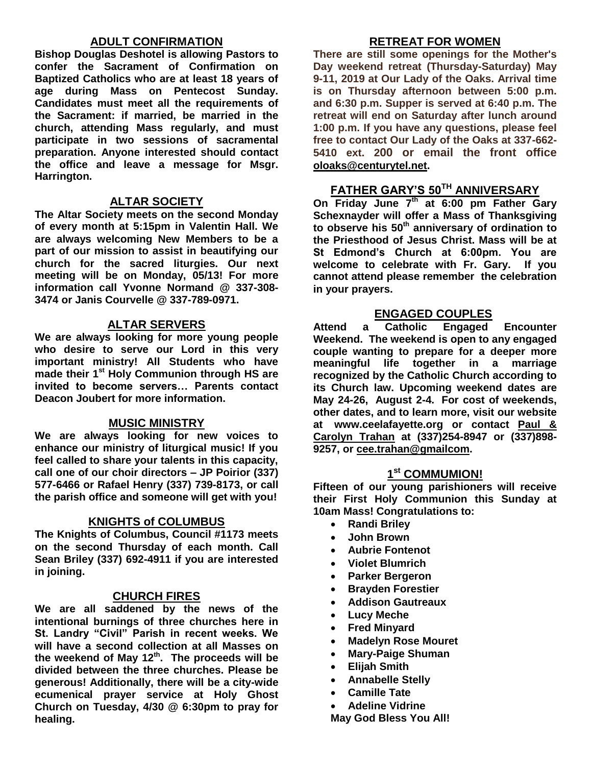### **ADULT CONFIRMATION**

**Bishop Douglas Deshotel is allowing Pastors to confer the Sacrament of Confirmation on Baptized Catholics who are at least 18 years of age during Mass on Pentecost Sunday. Candidates must meet all the requirements of the Sacrament: if married, be married in the church, attending Mass regularly, and must participate in two sessions of sacramental preparation. Anyone interested should contact the office and leave a message for Msgr. Harrington.** 

#### **ALTAR SOCIETY**

**The Altar Society meets on the second Monday of every month at 5:15pm in Valentin Hall. We are always welcoming New Members to be a part of our mission to assist in beautifying our church for the sacred liturgies. Our next meeting will be on Monday, 05/13! For more information call Yvonne Normand @ 337-308- 3474 or Janis Courvelle @ 337-789-0971.** 

#### **ALTAR SERVERS**

**We are always looking for more young people who desire to serve our Lord in this very important ministry! All Students who have made their 1st Holy Communion through HS are invited to become servers… Parents contact Deacon Joubert for more information.**

#### **MUSIC MINISTRY**

**We are always looking for new voices to enhance our ministry of liturgical music! If you feel called to share your talents in this capacity, call one of our choir directors – JP Poirior (337) 577-6466 or Rafael Henry (337) 739-8173, or call the parish office and someone will get with you!**

#### **KNIGHTS of COLUMBUS**

**The Knights of Columbus, Council #1173 meets on the second Thursday of each month. Call Sean Briley (337) 692-4911 if you are interested in joining.** 

### **CHURCH FIRES**

**We are all saddened by the news of the intentional burnings of three churches here in St. Landry "Civil" Parish in recent weeks. We will have a second collection at all Masses on the weekend of May 12th. The proceeds will be divided between the three churches. Please be generous! Additionally, there will be a city-wide ecumenical prayer service at Holy Ghost Church on Tuesday, 4/30 @ 6:30pm to pray for healing.**

### **RETREAT FOR WOMEN**

**There are still some openings for the Mother's Day weekend retreat (Thursday-Saturday) May 9-11, 2019 at Our Lady of the Oaks. Arrival time is on Thursday afternoon between 5:00 p.m. and 6:30 p.m. Supper is served at 6:40 p.m. The retreat will end on Saturday after lunch around 1:00 p.m. If you have any questions, please feel free to contact Our Lady of the Oaks at 337-662- 5410 ext. 200 or email the front office [oloaks@centurytel.net.](mailto:oloaks@centurytel.net)**

## **FATHER GARY'S 50TH ANNIVERSARY**

**On Friday June 7th at 6:00 pm Father Gary Schexnayder will offer a Mass of Thanksgiving to observe his 50th anniversary of ordination to the Priesthood of Jesus Christ. Mass will be at St Edmond's Church at 6:00pm. You are welcome to celebrate with Fr. Gary. If you cannot attend please remember the celebration in your prayers.** 

#### **ENGAGED COUPLES**

**Attend a Catholic Engaged Encounter Weekend. The weekend is open to any engaged couple wanting to prepare for a deeper more meaningful life together in a marriage recognized by the Catholic Church according to its Church law. Upcoming weekend dates are May 24-26, August 2-4. For cost of weekends, other dates, and to learn more, visit our website at www.ceelafayette.org or contact Paul & Carolyn Trahan at (337)254-8947 or (337)898- 9257, or [cee.trahan@gmailcom.](mailto:cee.trahan@gmailcom)**

## **1 st COMMUMION!**

**Fifteen of our young parishioners will receive their First Holy Communion this Sunday at 10am Mass! Congratulations to:**

- **Randi Briley**
- **John Brown**
- **Aubrie Fontenot**
- **Violet Blumrich**
- **Parker Bergeron**
- **•** Brayden Forestier
- **Addison Gautreaux**
- **Lucy Meche**
- **Fred Minyard**
- **Madelyn Rose Mouret**
- **Mary-Paige Shuman**
- **Elijah Smith**
- **Annabelle Stelly**
- **Camille Tate**
- **Adeline Vidrine**

**May God Bless You All!**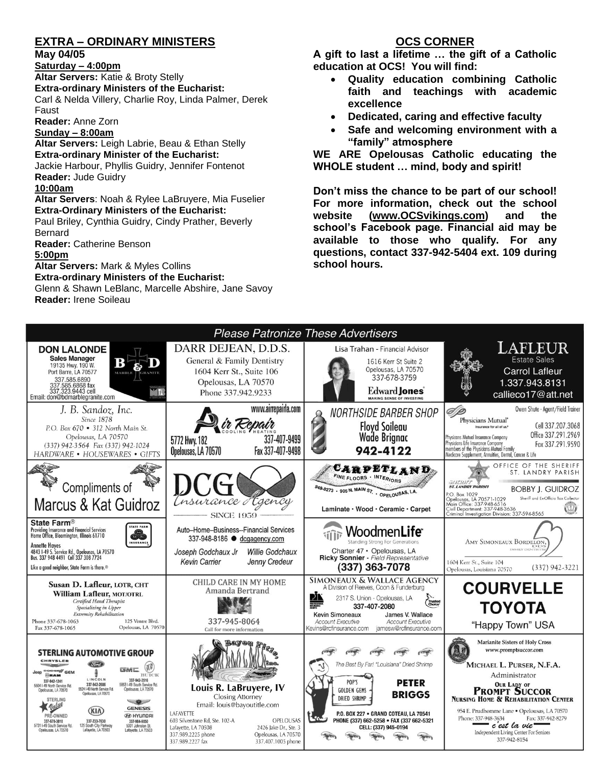# **EXTRA – ORDINARY MINISTERS**

#### **May 04/05**

**Saturday – 4:00pm** 

**Altar Servers:** Katie & Broty Stelly **Extra-ordinary Ministers of the Eucharist:**  Carl & Nelda Villery, Charlie Roy, Linda Palmer, Derek Faust

**Reader:** Anne Zorn

#### **Sunday – 8:00am**

**Altar Servers:** Leigh Labrie, Beau & Ethan Stelly **Extra-ordinary Minister of the Eucharist:** Jackie Harbour, Phyllis Guidry, Jennifer Fontenot **Reader:** Jude Guidry

#### **10:00am**

**Altar Servers**: Noah & Rylee LaBruyere, Mia Fuselier **Extra-Ordinary Ministers of the Eucharist:**

Paul Briley, Cynthia Guidry, Cindy Prather, Beverly Bernard

**Reader:** Catherine Benson

**5:00pm** 

**Altar Servers:** Mark & Myles Collins **Extra-ordinary Ministers of the Eucharist:**

Glenn & Shawn LeBlanc, Marcelle Abshire, Jane Savoy **Reader:** Irene Soileau

## **OCS CORNER**

**A gift to last a lifetime … the gift of a Catholic education at OCS! You will find:**

- **Quality education combining Catholic faith and teachings with academic excellence**
- **Dedicated, caring and effective faculty**
- **Safe and welcoming environment with a "family" atmosphere**

**WE ARE Opelousas Catholic educating the WHOLE student … mind, body and spirit!** 

**Don't miss the chance to be part of our school! For more information, check out the school website [\(www.OCSvikings.com\)](http://www.ocsvikings.com/) and the school's Facebook page. Financial aid may be available to those who qualify. For any questions, contact 337-942-5404 ext. 109 during school hours.**